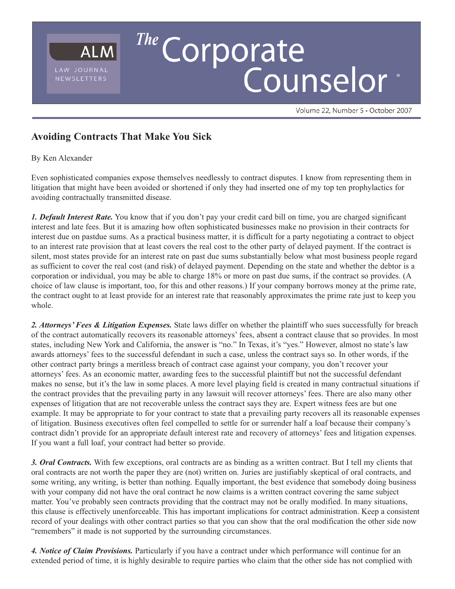

Volume 22, Number 5 · October 2007

## **Avoiding Contracts That Make You Sick**

## By Ken Alexander

Even sophisticated companies expose themselves needlessly to contract disputes. I know from representing them in litigation that might have been avoided or shortened if only they had inserted one of my top ten prophylactics for avoiding contractually transmitted disease.

*1. Default Interest Rate.* You know that if you don't pay your credit card bill on time, you are charged significant interest and late fees. But it is amazing how often sophisticated businesses make no provision in their contracts for interest due on pastdue sums. As a practical business matter, it is difficult for a party negotiating a contract to object to an interest rate provision that at least covers the real cost to the other party of delayed payment. If the contract is silent, most states provide for an interest rate on past due sums substantially below what most business people regard as sufficient to cover the real cost (and risk) of delayed payment. Depending on the state and whether the debtor is a corporation or individual, you may be able to charge 18% or more on past due sums, if the contract so provides. (A choice of law clause is important, too, for this and other reasons.) If your company borrows money at the prime rate, the contract ought to at least provide for an interest rate that reasonably approximates the prime rate just to keep you whole.

*2. Attorneys' Fees & Litigation Expenses.* State laws differ on whether the plaintiff who sues successfully for breach of the contract automatically recovers its reasonable attorneys' fees, absent a contract clause that so provides. In most states, including New York and California, the answer is "no." In Texas, it's "yes." However, almost no state's law awards attorneys' fees to the successful defendant in such a case, unless the contract says so. In other words, if the other contract party brings a meritless breach of contract case against your company, you don't recover your attorneys' fees. As an economic matter, awarding fees to the successful plaintiff but not the successful defendant makes no sense, but it's the law in some places. A more level playing field is created in many contractual situations if the contract provides that the prevailing party in any lawsuit will recover attorneys' fees. There are also many other expenses of litigation that are not recoverable unless the contract says they are. Expert witness fees are but one example. It may be appropriate to for your contract to state that a prevailing party recovers all its reasonable expenses of litigation. Business executives often feel compelled to settle for or surrender half a loaf because their company's contract didn't provide for an appropriate default interest rate and recovery of attorneys' fees and litigation expenses. If you want a full loaf, your contract had better so provide.

*3. Oral Contracts.* With few exceptions, oral contracts are as binding as a written contract. But I tell my clients that oral contracts are not worth the paper they are (not) written on. Juries are justifiably skeptical of oral contracts, and some writing, any writing, is better than nothing. Equally important, the best evidence that somebody doing business with your company did not have the oral contract he now claims is a written contract covering the same subject matter. You've probably seen contracts providing that the contract may not be orally modified. In many situations, this clause is effectively unenforceable. This has important implications for contract administration. Keep a consistent record of your dealings with other contract parties so that you can show that the oral modification the other side now "remembers" it made is not supported by the surrounding circumstances.

*4. Notice of Claim Provisions.* Particularly if you have a contract under which performance will continue for an extended period of time, it is highly desirable to require parties who claim that the other side has not complied with